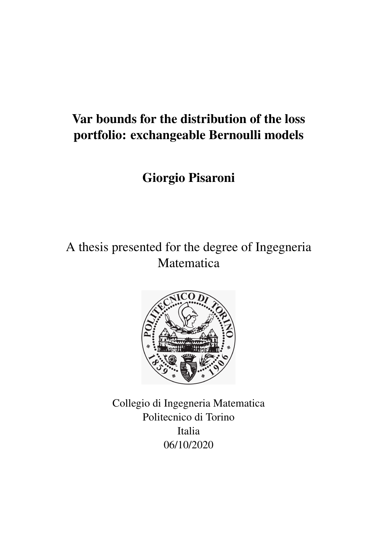# Var bounds for the distribution of the loss portfolio: exchangeable Bernoulli models

# Giorgio Pisaroni

A thesis presented for the degree of Ingegneria Matematica



Collegio di Ingegneria Matematica Politecnico di Torino Italia 06/10/2020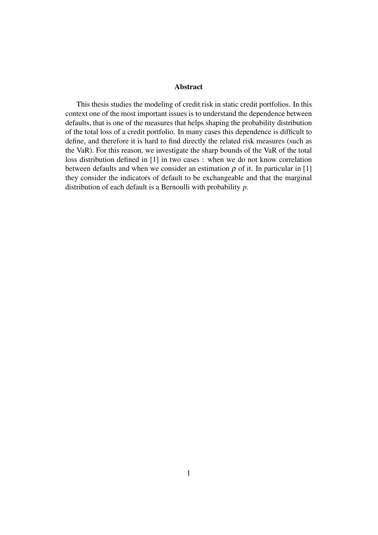#### Abstract

This thesis studies the modeling of credit risk in static credit portfolios. In this context one of the most important issues is to understand the dependence between defaults, that is one of the measures that helps shaping the probability distribution of the total loss of a credit portfolio. In many cases this dependence is difficult to define, and therefore it is hard to find directly the related risk measures (such as the VaR). For this reason, we investigate the sharp bounds of the VaR of the total loss distribution defined in [1] in two cases : when we do not know correlation between defaults and when we consider an estimation  $\rho$  of it. In particular in [1] they consider the indicators of default to be exchangeable and that the marginal distribution of each default is a Bernoulli with probability *p*.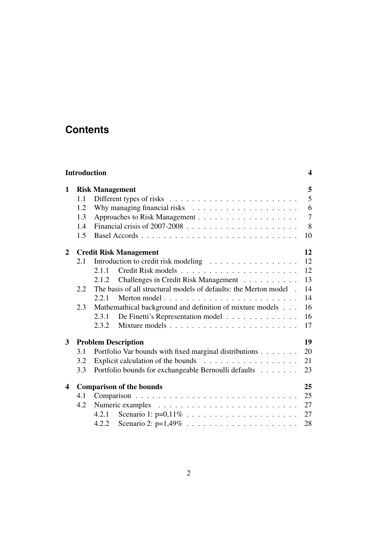## **Contents**

|                | <b>Introduction</b> |                                                                                  | $\overline{\mathbf{4}}$ |  |  |  |  |
|----------------|---------------------|----------------------------------------------------------------------------------|-------------------------|--|--|--|--|
| 1              |                     | <b>Risk Management</b>                                                           |                         |  |  |  |  |
|                | 1.1                 |                                                                                  | $\overline{5}$          |  |  |  |  |
|                | 1.2                 |                                                                                  | 6                       |  |  |  |  |
|                | 1.3                 |                                                                                  | $\overline{7}$          |  |  |  |  |
|                | 1.4                 |                                                                                  | 8                       |  |  |  |  |
|                | 1.5                 |                                                                                  | 10                      |  |  |  |  |
| $\overline{2}$ |                     | <b>Credit Risk Management</b>                                                    | 12                      |  |  |  |  |
|                | 2.1                 | Introduction to credit risk modeling                                             | 12                      |  |  |  |  |
|                |                     | 2.1.1                                                                            | 12                      |  |  |  |  |
|                |                     | Challenges in Credit Risk Management<br>2.1.2                                    | 13                      |  |  |  |  |
|                | 2.2                 | The basis of all structural models of defaults: the Merton model.                | 14                      |  |  |  |  |
|                |                     | 2.2.1                                                                            | 14                      |  |  |  |  |
|                | 2.3                 | Mathemathical background and definition of mixture models                        | 16                      |  |  |  |  |
|                |                     | De Finetti's Representation model<br>2.3.1                                       | 16                      |  |  |  |  |
|                |                     | 2.3.2                                                                            | 17                      |  |  |  |  |
| $3^{\circ}$    |                     | <b>Problem Description</b>                                                       | 19                      |  |  |  |  |
|                | 3.1                 | Portfolio Var bounds with fixed marginal distributions                           | 20                      |  |  |  |  |
|                | 3.2                 | Explicit calculation of the bounds $\ldots \ldots \ldots \ldots \ldots$          | 21                      |  |  |  |  |
|                | 3.3                 | Portfolio bounds for exchangeable Bernoulli defaults                             | 23                      |  |  |  |  |
| 4              |                     | <b>Comparison of the bounds</b>                                                  | 25                      |  |  |  |  |
|                | 4.1                 |                                                                                  | 25                      |  |  |  |  |
|                | 4.2                 |                                                                                  | 27                      |  |  |  |  |
|                |                     | 4.2.1                                                                            | 27                      |  |  |  |  |
|                |                     | Scenario 2: $p=1,49\% \ldots \ldots \ldots \ldots \ldots \ldots \ldots$<br>4.2.2 | 28                      |  |  |  |  |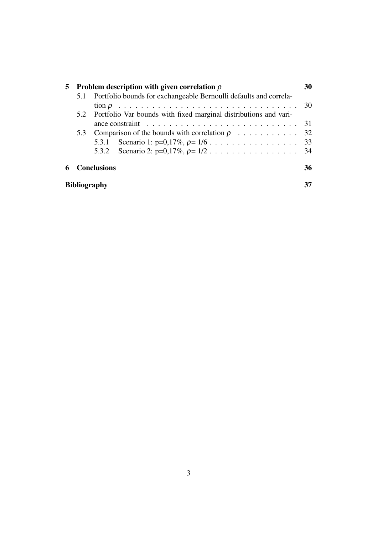|                          | 5 Problem description with given correlation $\rho$                  |                                                                       |                                                                                  |    |  |
|--------------------------|----------------------------------------------------------------------|-----------------------------------------------------------------------|----------------------------------------------------------------------------------|----|--|
|                          |                                                                      | 5.1 Portfolio bounds for exchangeable Bernoulli defaults and correla- |                                                                                  |    |  |
|                          |                                                                      |                                                                       |                                                                                  | 30 |  |
|                          | 5.2 Portfolio Var bounds with fixed marginal distributions and vari- |                                                                       |                                                                                  |    |  |
|                          |                                                                      |                                                                       | ance constraint $\ldots \ldots \ldots \ldots \ldots \ldots \ldots \ldots \ldots$ | 31 |  |
|                          | 5.3                                                                  |                                                                       |                                                                                  |    |  |
|                          |                                                                      |                                                                       |                                                                                  |    |  |
|                          |                                                                      |                                                                       |                                                                                  |    |  |
| <b>Conclusions</b><br>6. |                                                                      |                                                                       | 36                                                                               |    |  |
|                          |                                                                      | <b>Bibliography</b>                                                   |                                                                                  |    |  |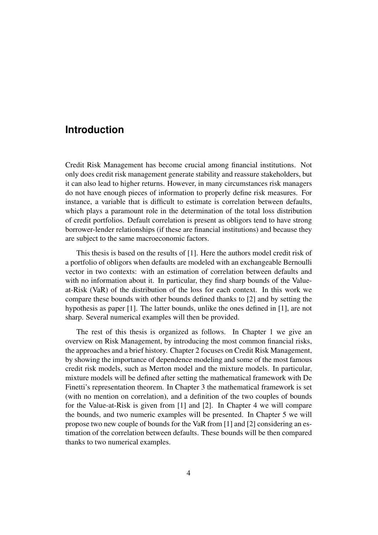#### **Introduction**

Credit Risk Management has become crucial among financial institutions. Not only does credit risk management generate stability and reassure stakeholders, but it can also lead to higher returns. However, in many circumstances risk managers do not have enough pieces of information to properly define risk measures. For instance, a variable that is difficult to estimate is correlation between defaults, which plays a paramount role in the determination of the total loss distribution of credit portfolios. Default correlation is present as obligors tend to have strong borrower-lender relationships (if these are financial institutions) and because they are subject to the same macroeconomic factors.

This thesis is based on the results of [1]. Here the authors model credit risk of a portfolio of obligors when defaults are modeled with an exchangeable Bernoulli vector in two contexts: with an estimation of correlation between defaults and with no information about it. In particular, they find sharp bounds of the Valueat-Risk (VaR) of the distribution of the loss for each context. In this work we compare these bounds with other bounds defined thanks to [2] and by setting the hypothesis as paper [1]. The latter bounds, unlike the ones defined in [1], are not sharp. Several numerical examples will then be provided.

The rest of this thesis is organized as follows. In Chapter 1 we give an overview on Risk Management, by introducing the most common financial risks, the approaches and a brief history. Chapter 2 focuses on Credit Risk Management, by showing the importance of dependence modeling and some of the most famous credit risk models, such as Merton model and the mixture models. In particular, mixture models will be defined after setting the mathematical framework with De Finetti's representation theorem. In Chapter 3 the mathematical framework is set (with no mention on correlation), and a definition of the two couples of bounds for the Value-at-Risk is given from [1] and [2]. In Chapter 4 we will compare the bounds, and two numeric examples will be presented. In Chapter 5 we will propose two new couple of bounds for the VaR from [1] and [2] considering an estimation of the correlation between defaults. These bounds will be then compared thanks to two numerical examples.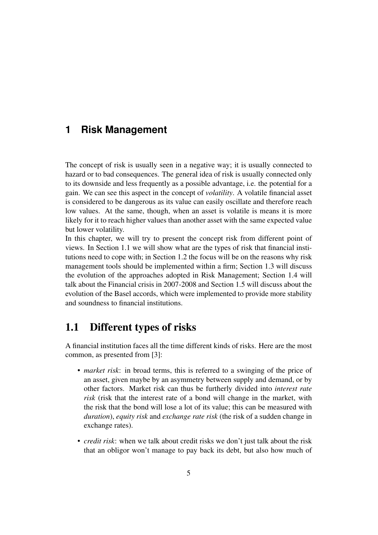### **1 Risk Management**

The concept of risk is usually seen in a negative way; it is usually connected to hazard or to bad consequences. The general idea of risk is usually connected only to its downside and less frequently as a possible advantage, i.e. the potential for a gain. We can see this aspect in the concept of *volatility*. A volatile financial asset is considered to be dangerous as its value can easily oscillate and therefore reach low values. At the same, though, when an asset is volatile is means it is more likely for it to reach higher values than another asset with the same expected value but lower volatility.

In this chapter, we will try to present the concept risk from different point of views. In Section 1.1 we will show what are the types of risk that financial institutions need to cope with; in Section 1.2 the focus will be on the reasons why risk management tools should be implemented within a firm; Section 1.3 will discuss the evolution of the approaches adopted in Risk Management; Section 1.4 will talk about the Financial crisis in 2007-2008 and Section 1.5 will discuss about the evolution of the Basel accords, which were implemented to provide more stability and soundness to financial institutions.

### 1.1 Different types of risks

A financial institution faces all the time different kinds of risks. Here are the most common, as presented from [3]:

- *market risk*: in broad terms, this is referred to a swinging of the price of an asset, given maybe by an asymmetry between supply and demand, or by other factors. Market risk can thus be furtherly divided into *interest rate risk* (risk that the interest rate of a bond will change in the market, with the risk that the bond will lose a lot of its value; this can be measured with *duration*), *equity risk* and *exchange rate risk* (the risk of a sudden change in exchange rates).
- *credit risk*: when we talk about credit risks we don't just talk about the risk that an obligor won't manage to pay back its debt, but also how much of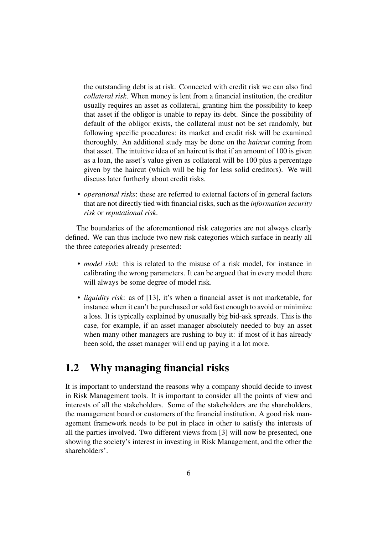the outstanding debt is at risk. Connected with credit risk we can also find *collateral risk*. When money is lent from a financial institution, the creditor usually requires an asset as collateral, granting him the possibility to keep that asset if the obligor is unable to repay its debt. Since the possibility of default of the obligor exists, the collateral must not be set randomly, but following specific procedures: its market and credit risk will be examined thoroughly. An additional study may be done on the *haircut* coming from that asset. The intuitive idea of an haircut is that if an amount of 100 is given as a loan, the asset's value given as collateral will be 100 plus a percentage given by the haircut (which will be big for less solid creditors). We will discuss later furtherly about credit risks.

• *operational risks*: these are referred to external factors of in general factors that are not directly tied with financial risks, such as the *information security risk* or *reputational risk*.

The boundaries of the aforementioned risk categories are not always clearly defined. We can thus include two new risk categories which surface in nearly all the three categories already presented:

- *model risk*: this is related to the misuse of a risk model, for instance in calibrating the wrong parameters. It can be argued that in every model there will always be some degree of model risk.
- *liquidity risk*: as of [13], it's when a financial asset is not marketable, for instance when it can't be purchased or sold fast enough to avoid or minimize a loss. It is typically explained by unusually big bid-ask spreads. This is the case, for example, if an asset manager absolutely needed to buy an asset when many other managers are rushing to buy it: if most of it has already been sold, the asset manager will end up paying it a lot more.

### 1.2 Why managing financial risks

It is important to understand the reasons why a company should decide to invest in Risk Management tools. It is important to consider all the points of view and interests of all the stakeholders. Some of the stakeholders are the shareholders, the management board or customers of the financial institution. A good risk management framework needs to be put in place in other to satisfy the interests of all the parties involved. Two different views from [3] will now be presented, one showing the society's interest in investing in Risk Management, and the other the shareholders'.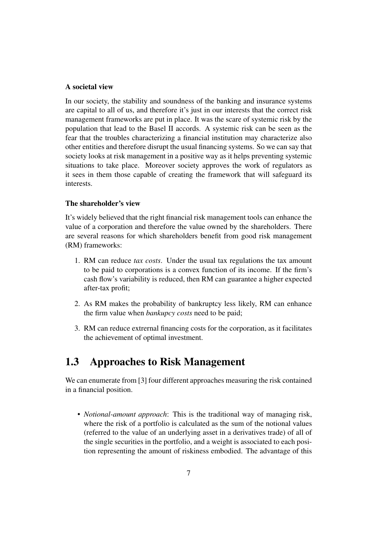#### A societal view

In our society, the stability and soundness of the banking and insurance systems are capital to all of us, and therefore it's just in our interests that the correct risk management frameworks are put in place. It was the scare of systemic risk by the population that lead to the Basel II accords. A systemic risk can be seen as the fear that the troubles characterizing a financial institution may characterize also other entities and therefore disrupt the usual financing systems. So we can say that society looks at risk management in a positive way as it helps preventing systemic situations to take place. Moreover society approves the work of regulators as it sees in them those capable of creating the framework that will safeguard its interests.

#### The shareholder's view

It's widely believed that the right financial risk management tools can enhance the value of a corporation and therefore the value owned by the shareholders. There are several reasons for which shareholders benefit from good risk management (RM) frameworks:

- 1. RM can reduce *tax costs*. Under the usual tax regulations the tax amount to be paid to corporations is a convex function of its income. If the firm's cash flow's variability is reduced, then RM can guarantee a higher expected after-tax profit;
- 2. As RM makes the probability of bankruptcy less likely, RM can enhance the firm value when *bankupcy costs* need to be paid;
- 3. RM can reduce extrernal financing costs for the corporation, as it facilitates the achievement of optimal investment.

### 1.3 Approaches to Risk Management

We can enumerate from [3] four different approaches measuring the risk contained in a financial position.

• *Notional-amount approach*: This is the traditional way of managing risk, where the risk of a portfolio is calculated as the sum of the notional values (referred to the value of an underlying asset in a derivatives trade) of all of the single securities in the portfolio, and a weight is associated to each position representing the amount of riskiness embodied. The advantage of this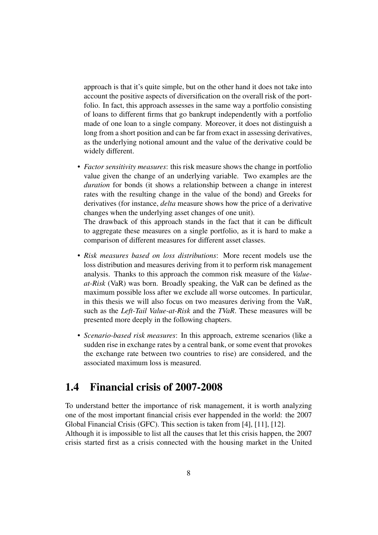approach is that it's quite simple, but on the other hand it does not take into account the positive aspects of diversification on the overall risk of the portfolio. In fact, this approach assesses in the same way a portfolio consisting of loans to different firms that go bankrupt independently with a portfolio made of one loan to a single company. Moreover, it does not distinguish a long from a short position and can be far from exact in assessing derivatives, as the underlying notional amount and the value of the derivative could be widely different.

• *Factor sensitivity measures*: this risk measure shows the change in portfolio value given the change of an underlying variable. Two examples are the *duration* for bonds (it shows a relationship between a change in interest rates with the resulting change in the value of the bond) and Greeks for derivatives (for instance, *delta* measure shows how the price of a derivative changes when the underlying asset changes of one unit).

The drawback of this approach stands in the fact that it can be difficult to aggregate these measures on a single portfolio, as it is hard to make a comparison of different measures for different asset classes.

- *Risk measures based on loss distributions*: More recent models use the loss distribution and measures deriving from it to perform risk management analysis. Thanks to this approach the common risk measure of the *Valueat-Risk* (VaR) was born. Broadly speaking, the VaR can be defined as the maximum possible loss after we exclude all worse outcomes. In particular, in this thesis we will also focus on two measures deriving from the VaR, such as the *Left-Tail Value-at-Risk* and the *TVaR*. These measures will be presented more deeply in the following chapters.
- *Scenario-based risk measures*: In this approach, extreme scenarios (like a sudden rise in exchange rates by a central bank, or some event that provokes the exchange rate between two countries to rise) are considered, and the associated maximum loss is measured.

### 1.4 Financial crisis of 2007-2008

To understand better the importance of risk management, it is worth analyzing one of the most important financial crisis ever happended in the world: the 2007 Global Financial Crisis (GFC). This section is taken from [4], [11], [12]. Although it is impossible to list all the causes that let this crisis happen, the 2007 crisis started first as a crisis connected with the housing market in the United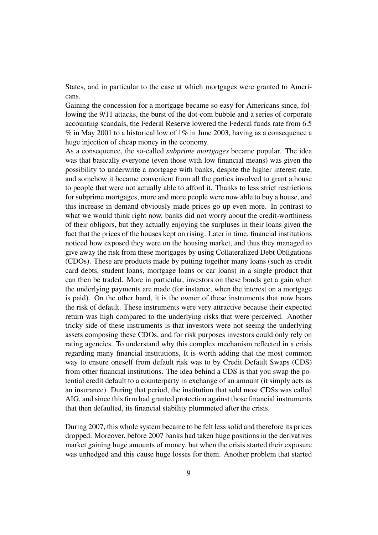States, and in particular to the ease at which mortgages were granted to Americans.

Gaining the concession for a mortgage became so easy for Americans since, following the 9/11 attacks, the burst of the dot-com bubble and a series of corporate accounting scandals, the Federal Reserve lowered the Federal funds rate from 6.5 % in May 2001 to a historical low of 1% in June 2003, having as a consequence a huge injection of cheap money in the economy.

As a consequence, the so-called *subprime mortgages* became popular. The idea was that basically everyone (even those with low financial means) was given the possibility to underwrite a mortgage with banks, despite the higher interest rate, and somehow it became convenient from all the parties involved to grant a house to people that were not actually able to afford it. Thanks to less strict restrictions for subprime mortgages, more and more people were now able to buy a house, and this increase in demand obviously made prices go up even more. In contrast to what we would think right now, banks did not worry about the credit-worthiness of their obligors, but they actually enjoying the surpluses in their loans given the fact that the prices of the houses kept on rising. Later in time, financial institutions noticed how exposed they were on the housing market, and thus they managed to give away the risk from these mortgages by using Collateralized Debt Obligations (CDOs). These are products made by putting together many loans (such as credit card debts, student loans, mortgage loans or car loans) in a single product that can then be traded. More in particular, investors on these bonds get a gain when the underlying payments are made (for instance, when the interest on a mortgage is paid). On the other hand, it is the owner of these instruments that now bears the risk of default. These instruments were very attractive because their expected return was high compared to the underlying risks that were perceived. Another tricky side of these instruments is that investors were not seeing the underlying assets composing these CDOs, and for risk purposes investors could only rely on rating agencies. To understand why this complex mechanism reflected in a crisis regarding many financial institutions, It is worth adding that the most common way to ensure oneself from default risk was to by Credit Default Swaps (CDS) from other financial institutions. The idea behind a CDS is that you swap the potential credit default to a counterparty in exchange of an amount (it simply acts as an insurance). During that period, the institution that sold most CDSs was called AIG, and since this firm had granted protection against those financial instruments that then defaulted, its financial stability plummeted after the crisis.

During 2007, this whole system became to be felt less solid and therefore its prices dropped. Moreover, before 2007 banks had taken huge positions in the derivatives market gaining huge amounts of money, but when the crisis started their exposure was unhedged and this cause huge losses for them. Another problem that started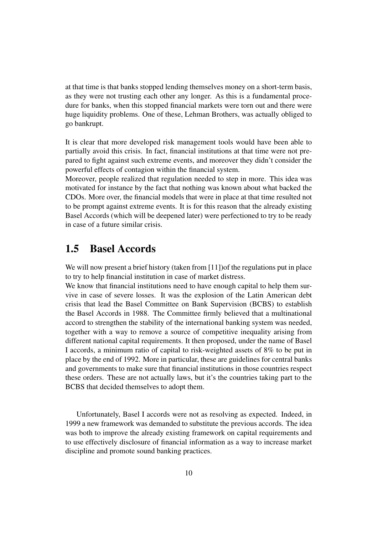at that time is that banks stopped lending themselves money on a short-term basis, as they were not trusting each other any longer. As this is a fundamental procedure for banks, when this stopped financial markets were torn out and there were huge liquidity problems. One of these, Lehman Brothers, was actually obliged to go bankrupt.

It is clear that more developed risk management tools would have been able to partially avoid this crisis. In fact, financial institutions at that time were not prepared to fight against such extreme events, and moreover they didn't consider the powerful effects of contagion within the financial system.

Moreover, people realized that regulation needed to step in more. This idea was motivated for instance by the fact that nothing was known about what backed the CDOs. More over, the financial models that were in place at that time resulted not to be prompt against extreme events. It is for this reason that the already existing Basel Accords (which will be deepened later) were perfectioned to try to be ready in case of a future similar crisis.

### 1.5 Basel Accords

We will now present a brief history (taken from [11]) of the regulations put in place to try to help financial institution in case of market distress.

We know that financial institutions need to have enough capital to help them survive in case of severe losses. It was the explosion of the Latin American debt crisis that lead the Basel Committee on Bank Supervision (BCBS) to establish the Basel Accords in 1988. The Committee firmly believed that a multinational accord to strengthen the stability of the international banking system was needed, together with a way to remove a source of competitive inequality arising from different national capital requirements. It then proposed, under the name of Basel I accords, a minimum ratio of capital to risk-weighted assets of 8% to be put in place by the end of 1992. More in particular, these are guidelines for central banks and governments to make sure that financial institutions in those countries respect these orders. These are not actually laws, but it's the countries taking part to the BCBS that decided themselves to adopt them.

Unfortunately, Basel I accords were not as resolving as expected. Indeed, in 1999 a new framework was demanded to substitute the previous accords. The idea was both to improve the already existing framework on capital requirements and to use effectively disclosure of financial information as a way to increase market discipline and promote sound banking practices.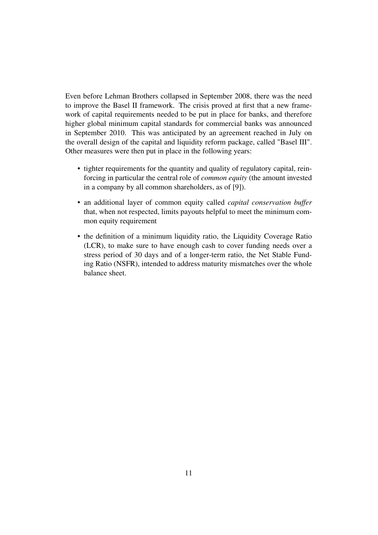Even before Lehman Brothers collapsed in September 2008, there was the need to improve the Basel II framework. The crisis proved at first that a new framework of capital requirements needed to be put in place for banks, and therefore higher global minimum capital standards for commercial banks was announced in September 2010. This was anticipated by an agreement reached in July on the overall design of the capital and liquidity reform package, called "Basel III". Other measures were then put in place in the following years:

- tighter requirements for the quantity and quality of regulatory capital, reinforcing in particular the central role of *common equity* (the amount invested in a company by all common shareholders, as of [9]).
- an additional layer of common equity called *capital conservation buffer* that, when not respected, limits payouts helpful to meet the minimum common equity requirement
- the definition of a minimum liquidity ratio, the Liquidity Coverage Ratio (LCR), to make sure to have enough cash to cover funding needs over a stress period of 30 days and of a longer-term ratio, the Net Stable Funding Ratio (NSFR), intended to address maturity mismatches over the whole balance sheet.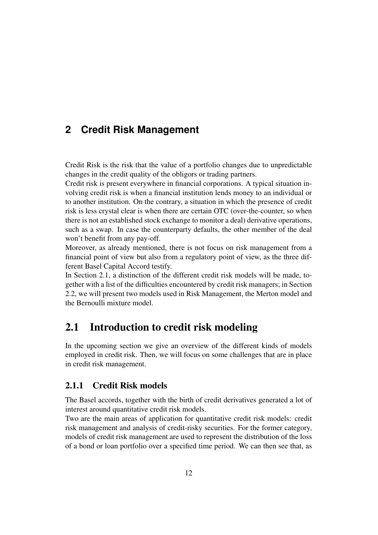### **2 Credit Risk Management**

Credit Risk is the risk that the value of a portfolio changes due to unpredictable changes in the credit quality of the obligors or trading partners.

Credit risk is present everywhere in financial corporations. A typical situation involving credit risk is when a financial institution lends money to an individual or to another institution. On the contrary, a situation in which the presence of credit risk is less crystal clear is when there are certain OTC (over-the-counter, so when there is not an established stock exchange to monitor a deal) derivative operations, such as a swap. In case the counterparty defaults, the other member of the deal won't benefit from any pay-off.

Moreover, as already mentioned, there is not focus on risk management from a financial point of view but also from a regulatory point of view, as the three different Basel Capital Accord testify.

In Section 2.1, a distinction of the different credit risk models will be made, together with a list of the difficulties encountered by credit risk managers; in Section 2.2, we will present two models used in Risk Management, the Merton model and the Bernoulli mixture model.

### 2.1 Introduction to credit risk modeling

In the upcoming section we give an overview of the different kinds of models employed in credit risk. Then, we will focus on some challenges that are in place in credit risk management.

#### 2.1.1 Credit Risk models

The Basel accords, together with the birth of credit derivatives generated a lot of interest around quantitative credit risk models.

Two are the main areas of application for quantitative credit risk models: credit risk management and analysis of credit-risky securities. For the former category, models of credit risk management are used to represent the distribution of the loss of a bond or loan portfolio over a specified time period. We can then see that, as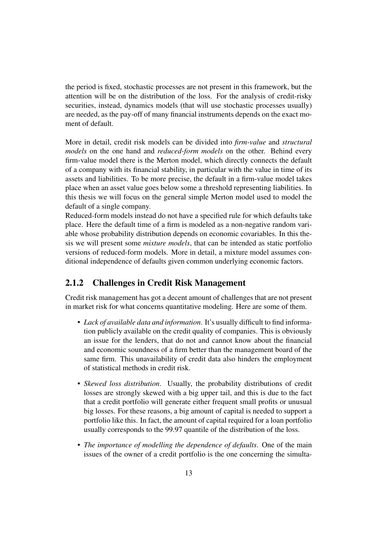the period is fixed, stochastic processes are not present in this framework, but the attention will be on the distribution of the loss. For the analysis of credit-risky securities, instead, dynamics models (that will use stochastic processes usually) are needed, as the pay-off of many financial instruments depends on the exact moment of default.

More in detail, credit risk models can be divided into *firm-value* and *structural models* on the one hand and *reduced-form models* on the other. Behind every firm-value model there is the Merton model, which directly connects the default of a company with its financial stability, in particular with the value in time of its assets and liabilities. To be more precise, the default in a firm-value model takes place when an asset value goes below some a threshold representing liabilities. In this thesis we will focus on the general simple Merton model used to model the default of a single company.

Reduced-form models instead do not have a specified rule for which defaults take place. Here the default time of a firm is modeled as a non-negative random variable whose probability distribution depends on economic covariables. In this thesis we will present some *mixture models*, that can be intended as static portfolio versions of reduced-form models. More in detail, a mixture model assumes conditional independence of defaults given common underlying economic factors.

#### 2.1.2 Challenges in Credit Risk Management

Credit risk management has got a decent amount of challenges that are not present in market risk for what concerns quantitative modeling. Here are some of them.

- *Lack of available data and information*. It's usually difficult to find information publicly available on the credit quality of companies. This is obviously an issue for the lenders, that do not and cannot know about the financial and economic soundness of a firm better than the management board of the same firm. This unavailability of credit data also hinders the employment of statistical methods in credit risk.
- *Skewed loss distribution*. Usually, the probability distributions of credit losses are strongly skewed with a big upper tail, and this is due to the fact that a credit portfolio will generate either frequent small profits or unusual big losses. For these reasons, a big amount of capital is needed to support a portfolio like this. In fact, the amount of capital required for a loan portfolio usually corresponds to the 99.97 quantile of the distribution of the loss.
- *The importance of modelling the dependence of defaults*. One of the main issues of the owner of a credit portfolio is the one concerning the simulta-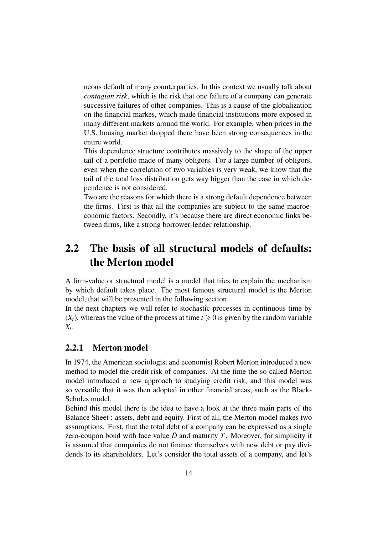neous default of many counterparties. In this context we usually talk about *contagion risk*, which is the risk that one failure of a company can generate successive failures of other companies. This is a cause of the globalization on the financial markes, which made financial institutions more exposed in many different markets around the world. For example, when prices in the U.S. housing market dropped there have been strong consequences in the entire world.

This dependence structure contributes massively to the shape of the upper tail of a portfolio made of many obligors. For a large number of obligors, even when the correlation of two variables is very weak, we know that the tail of the total loss distribution gets way bigger than the case in which dependence is not considered.

Two are the reasons for which there is a strong default dependence between the firms. First is that all the companies are subject to the same macroeconomic factors. Secondly, it's because there are direct economic links between firms, like a strong borrower-lender relationship.

## 2.2 The basis of all structural models of defaults: the Merton model

A firm-value or structural model is a model that tries to explain the mechanism by which default takes place. The most famous structural model is the Merton model, that will be presented in the following section.

In the next chapters we will refer to stochastic processes in continuous time by  $(X_t)$ , whereas the value of the process at time  $t \geq 0$  is given by the random variable *Xt* .

#### 2.2.1 Merton model

In 1974, the American sociologist and economist Robert Merton introduced a new method to model the credit risk of companies. At the time the so-called Merton model introduced a new approach to studying credit risk, and this model was so versatile that it was then adopted in other financial areas, such as the Black-Scholes model.

Behind this model there is the idea to have a look at the three main parts of the Balance Sheet : assets, debt and equity. First of all, the Merton model makes two assumptions. First, that the total debt of a company can be expressed as a single zero-coupon bond with face value  $\bar{D}$  and maturity *T*. Moreover, for simplicity it is assumed that companies do not finance themselves with new debt or pay dividends to its shareholders. Let's consider the total assets of a company, and let's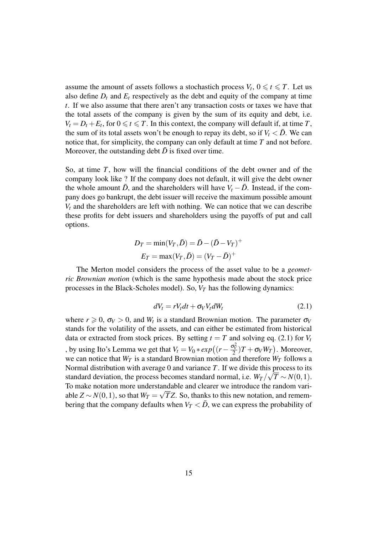assume the amount of assets follows a stochastich process  $V_t$ ,  $0 \le t \le T$ . Let us also define  $D_t$  and  $E_t$  respectively as the debt and equity of the company at time *t*. If we also assume that there aren't any transaction costs or taxes we have that the total assets of the company is given by the sum of its equity and debt, i.e.  $V_t = D_t + E_t$ , for  $0 \le t \le T$ . In this context, the company will default if, at time *T*, the sum of its total assets won't be enough to repay its debt, so if  $V_t < \bar{D}$ . We can notice that, for simplicity, the company can only default at time *T* and not before. Moreover, the outstanding debt  $\bar{D}$  is fixed over time.

So, at time *T*, how will the financial conditions of the debt owner and of the company look like ? If the company does not default, it will give the debt owner the whole amount  $\bar{D}$ , and the shareholders will have  $V_t - \bar{D}$ . Instead, if the company does go bankrupt, the debt issuer will receive the maximum possible amount  $V_t$  and the shareholders are left with nothing. We can notice that we can describe these profits for debt issuers and shareholders using the payoffs of put and call options.

$$
D_T = \min(V_T, \bar{D}) = \bar{D} - (\bar{D} - V_T)^{+}
$$
  

$$
E_T = \max(V_T, \bar{D}) = (V_T - \bar{D})^{+}
$$

The Merton model considers the process of the asset value to be a *geometric Brownian motion* (which is the same hypothesis made about the stock price processes in the Black-Scholes model). So,  $V_T$  has the following dynamics:

$$
dV_t = rV_t dt + \sigma_V V_t dW_t \tag{2.1}
$$

where  $r \geq 0$ ,  $\sigma_V > 0$ , and  $W_t$  is a standard Brownian motion. The parameter  $\sigma_V$ stands for the volatility of the assets, and can either be estimated from historical data or extracted from stock prices. By setting  $t = T$  and solving eq. (2.1) for  $V_t$ , by using Ito's Lemma we get that  $V_t = V_0 * exp((r - \frac{\sigma_v^2}{2})T + \sigma_V W_T)$ . Moreover, we can notice that  $W_T$  is a standard Brownian motion and therefore  $W_T$  follows a Normal distribution with average 0 and variance *T*. If we divide this process to its standard deviation, the process becomes standard normal, i.e.  $W_T / \sqrt{T} \sim N(0, 1)$ . To make notation more understandable and clearer we introduce the random variable *Z* ∼ *N*(0,1), so that  $W_T = \sqrt{TZ}$ . So, thanks to this new notation, and remembering that the company defaults when  $V_T < \bar{D}$ , we can express the probability of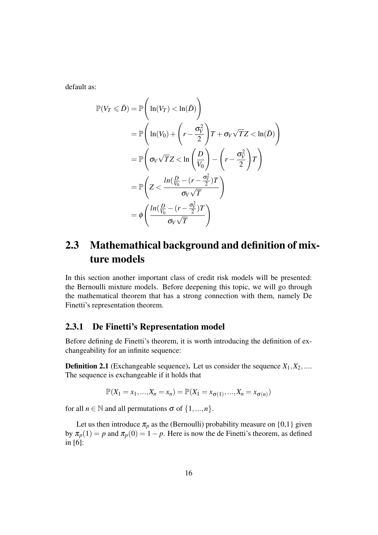default as:

$$
\mathbb{P}(V_T \leq \bar{D}) = \mathbb{P}\left(\ln(V_T) < \ln(\bar{D})\right)
$$
\n
$$
= \mathbb{P}\left(\ln(V_0) + \left(r - \frac{\sigma_V^2}{2}\right)T + \sigma_V\sqrt{T}Z < \ln(\bar{D})\right)
$$
\n
$$
= \mathbb{P}\left(\sigma_V\sqrt{T}Z < \ln\left(\frac{D}{V_0}\right) - \left(r - \frac{\sigma_V^2}{2}\right)T\right)
$$
\n
$$
= \mathbb{P}\left(Z < \frac{\ln(\frac{D}{V_0} - (r - \frac{\sigma_V^2}{2})T}{\sigma_V\sqrt{T}}\right)
$$
\n
$$
= \phi\left(\frac{\ln(\frac{D}{V_0} - (r - \frac{\sigma_V^2}{2})T}{\sigma_V\sqrt{T}}\right)
$$

## 2.3 Mathemathical background and definition of mixture models

In this section another important class of credit risk models will be presented: the Bernoulli mixture models. Before deepening this topic, we will go through the mathematical theorem that has a strong connection with them, namely De Finetti's representation theorem.

#### 2.3.1 De Finetti's Representation model

Before defining de Finetti's theorem, it is worth introducing the definition of exchangeability for an infinite sequence:

**Definition 2.1** (Exchangeable sequence). Let us consider the sequence  $X_1, X_2, \ldots$ The sequence is exchangeable if it holds that

$$
\mathbb{P}(X_1 = x_1, ..., X_n = x_n) = \mathbb{P}(X_1 = x_{\sigma(1)}, ..., X_n = x_{\sigma(n)})
$$

for all  $n \in \mathbb{N}$  and all permutations  $\sigma$  of  $\{1, ..., n\}$ .

Let us then introduce  $\pi_p$  as the (Bernoulli) probability measure on {0,1} given by  $\pi_p(1) = p$  and  $\pi_p(0) = 1 - p$ . Here is now the de Finetti's theorem, as defined in [6]: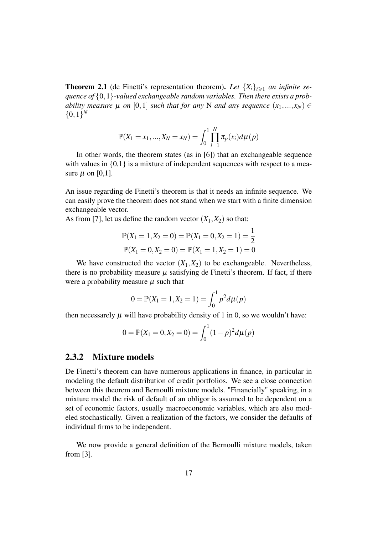**Theorem 2.1** (de Finetti's representation theorem). Let  $\{X_i\}_{i\geq 1}$  *an infinite sequence of* {0,1}*-valued exchangeable random variables. Then there exists a probability measure*  $\mu$  *on* [0,1] *such that for any* N *and any sequence*  $(x_1,...,x_N) \in$  $\{0,1\}^N$ 

$$
\mathbb{P}(X_1 = x_1, ..., X_N = x_N) = \int_0^1 \prod_{i=1}^N \pi_p(x_i) d\mu(p)
$$

In other words, the theorem states (as in [6]) that an exchangeable sequence with values in  $\{0,1\}$  is a mixture of independent sequences with respect to a measure  $\mu$  on [0,1].

An issue regarding de Finetti's theorem is that it needs an infinite sequence. We can easily prove the theorem does not stand when we start with a finite dimension exchangeable vector.

As from [7], let us define the random vector  $(X_1, X_2)$  so that:

$$
\mathbb{P}(X_1 = 1, X_2 = 0) = \mathbb{P}(X_1 = 0, X_2 = 1) = \frac{1}{2}
$$
  

$$
\mathbb{P}(X_1 = 0, X_2 = 0) = \mathbb{P}(X_1 = 1, X_2 = 1) = 0
$$

We have constructed the vector  $(X_1, X_2)$  to be exchangeable. Nevertheless, there is no probability measure  $\mu$  satisfying de Finetti's theorem. If fact, if there were a probability measure  $\mu$  such that

$$
0 = \mathbb{P}(X_1 = 1, X_2 = 1) = \int_0^1 p^2 d\mu(p)
$$

then necessarely  $\mu$  will have probability density of 1 in 0, so we wouldn't have:

$$
0 = \mathbb{P}(X_1 = 0, X_2 = 0) = \int_0^1 (1 - p)^2 d\mu(p)
$$

#### 2.3.2 Mixture models

De Finetti's theorem can have numerous applications in finance, in particular in modeling the default distribution of credit portfolios. We see a close connection between this theorem and Bernoulli mixture models. "Financially" speaking, in a mixture model the risk of default of an obligor is assumed to be dependent on a set of economic factors, usually macroeconomic variables, which are also modeled stochastically. Given a realization of the factors, we consider the defaults of individual firms to be independent.

We now provide a general definition of the Bernoulli mixture models, taken from [3].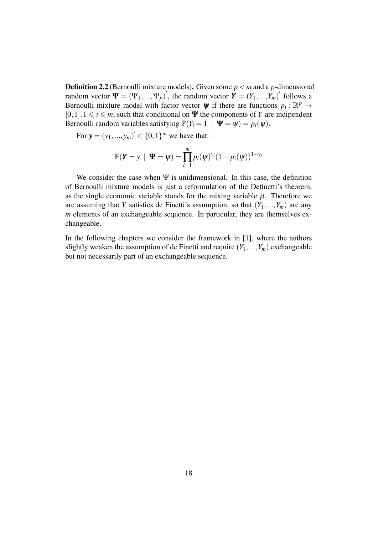Definition 2.2 (Bernoulli mixture models). Given some *p* < *m* and a *p*-dimensional random vector  $\Psi = (\Psi_1, ..., \Psi_p)'$ , the random vector  $\mathbf{\hat{Y}} = (Y_1, ..., Y_m)'$  follows a Bernoulli mixture model with factor vector  $\psi$  if there are functions  $p_i : \mathbb{R}^p \to$  $[0,1], 1 \le i \le m$ , such that conditional on  $\Psi$  the components of *Y* are indipendent Bernoulli random variables satisfying  $\mathbb{P}(Y_i = 1 | \Psi = \psi) = p_i(\psi)$ .

For  $y = (y_1, ..., y_m)' \in \{0, 1\}^m$  we have that:

$$
\mathbb{P}(\boldsymbol{Y} = y \mid \boldsymbol{\Psi} = \boldsymbol{\psi}) = \prod_{i=1}^{m} p_i(\boldsymbol{\psi})^{y_i} (1 - p_i(\boldsymbol{\psi}))^{1 - y_i}
$$

We consider the case when  $\Psi$  is unidimensional. In this case, the definition of Bernoulli mixture models is just a reformulation of the Definetti's theorem, as the single economic variable stands for the mixing variable  $\mu$ . Therefore we are assuming that *Y* satisfies de Finetti's assumption, so that  $(Y_1, ..., Y_m)$  are any *m* elements of an exchangeable sequence. In particular, they are themselves exchangeable.

In the following chapters we consider the framework in [1], where the authors slightly weaken the assumption of de Finetti and require  $(Y_1, ..., Y_m)$  exchangeable but not necessarily part of an exchangeable sequence.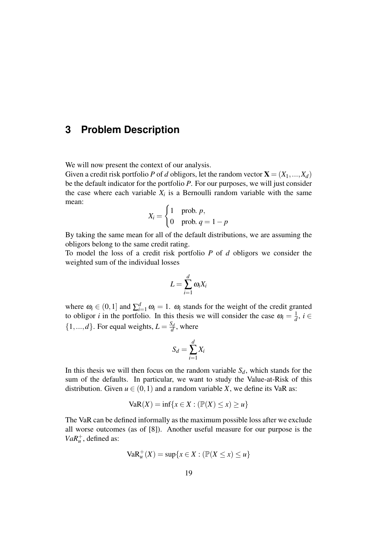### **3 Problem Description**

We will now present the context of our analysis.

Given a credit risk portfolio *P* of *d* obligors, let the random vector  $\mathbf{X} = (X_1, ..., X_d)$ be the default indicator for the portfolio *P*. For our purposes, we will just consider the case where each variable  $X_i$  is a Bernoulli random variable with the same mean:

$$
X_i = \begin{cases} 1 & \text{prob. } p, \\ 0 & \text{prob. } q = 1 - p \end{cases}
$$

By taking the same mean for all of the default distributions, we are assuming the obligors belong to the same credit rating.

To model the loss of a credit risk portfolio *P* of *d* obligors we consider the weighted sum of the individual losses

$$
L=\sum_{i=1}^d \omega_i X_i
$$

where  $\omega_i \in (0,1]$  and  $\sum_{i=1}^d \omega_i = 1$ .  $\omega_i$  stands for the weight of the credit granted to obligor *i* in the portfolio. In this thesis we will consider the case  $\omega_i = \frac{1}{d}$  $\frac{1}{d}$ *, i* ∈  $\{1, ..., d\}$ . For equal weights,  $L = \frac{S_d}{d}$  $\frac{d}{d}$ , where

$$
S_d = \sum_{i=1}^d X_i
$$

In this thesis we will then focus on the random variable  $S_d$ , which stands for the sum of the defaults. In particular, we want to study the Value-at-Risk of this distribution. Given  $u \in (0,1)$  and a random variable X, we define its VaR as:

$$
VaR(X) = \inf\{x \in X : (\mathbb{P}(X) \le x) \ge u\}
$$

The VaR can be defined informally as the maximum possible loss after we exclude all worse outcomes (as of [8]). Another useful measure for our purpose is the  $VaR_u^+$ , defined as:

$$
\text{VaR}_u^+(X) = \sup\{x \in X : (\mathbb{P}(X \le x) \le u\}
$$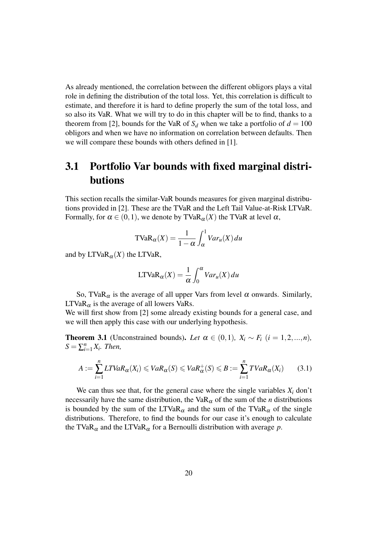As already mentioned, the correlation between the different obligors plays a vital role in defining the distribution of the total loss. Yet, this correlation is difficult to estimate, and therefore it is hard to define properly the sum of the total loss, and so also its VaR. What we will try to do in this chapter will be to find, thanks to a theorem from [2], bounds for the VaR of  $S_d$  when we take a portfolio of  $d = 100$ obligors and when we have no information on correlation between defaults. Then we will compare these bounds with others defined in [1].

## 3.1 Portfolio Var bounds with fixed marginal distributions

This section recalls the similar-VaR bounds measures for given marginal distributions provided in [2]. These are the TVaR and the Left Tail Value-at-Risk LTVaR. Formally, for  $\alpha \in (0,1)$ , we denote by TVaR<sub> $\alpha$ </sub> $(X)$  the TVaR at level  $\alpha$ ,

$$
\text{TVaR}_{\alpha}(X) = \frac{1}{1-\alpha} \int_{\alpha}^{1} Var_u(X) \, du
$$

and by  $LTVaR_{\alpha}(X)$  the LTVaR,

$$
LTVaR_{\alpha}(X) = \frac{1}{\alpha} \int_0^{\alpha} Var_u(X) du
$$

So, TVaR $_{\alpha}$  is the average of all upper Vars from level  $\alpha$  onwards. Similarly,  $LTVaR_{\alpha}$  is the average of all lowers VaRs.

We will first show from [2] some already existing bounds for a general case, and we will then apply this case with our underlying hypothesis.

**Theorem 3.1** (Unconstrained bounds). Let  $\alpha \in (0,1)$ ,  $X_i \sim F_i$  ( $i = 1,2,...,n$ ),  $S = \sum_{i=1}^{n} X_i$ *. Then,* 

$$
A := \sum_{i=1}^{n} LTVaR_{\alpha}(X_i) \leq VaR_{\alpha}(S) \leq VaR_{\alpha}^{+}(S) \leq B := \sum_{i=1}^{n} TVaR_{\alpha}(X_i)
$$
(3.1)

We can thus see that, for the general case where the single variables  $X_i$  don't necessarily have the same distribution, the VaR<sub> $\alpha$ </sub> of the sum of the *n* distributions is bounded by the sum of the LTVaR $_{\alpha}$  and the sum of the TVaR $_{\alpha}$  of the single distributions. Therefore, to find the bounds for our case it's enough to calculate the TVaR<sub> $\alpha$ </sub> and the LTVaR<sub> $\alpha$ </sub> for a Bernoulli distribution with average *p*.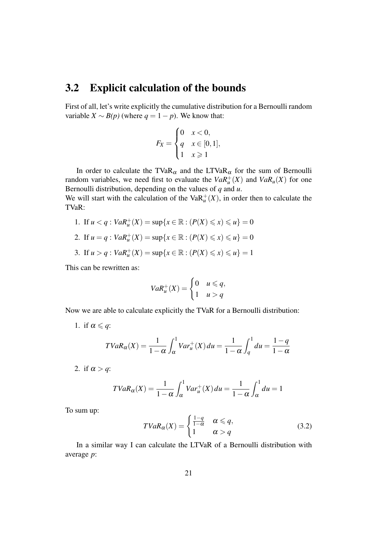### 3.2 Explicit calculation of the bounds

First of all, let's write explicitly the cumulative distribution for a Bernoulli random variable  $X \sim B(p)$  (where  $q = 1 - p$ ). We know that:

$$
F_X = \begin{cases} 0 & x < 0, \\ q & x \in [0, 1], \\ 1 & x \geq 1 \end{cases}
$$

In order to calculate the TVaR<sub> $\alpha$ </sub> and the LTVaR<sub> $\alpha$ </sub> for the sum of Bernoulli random variables, we need first to evaluate the  $VaR_u^+(X)$  and  $VaR_u(X)$  for one Bernoulli distribution, depending on the values of *q* and *u*.

We will start with the calculation of the  $VaR<sub>u</sub><sup>+</sup>(X)$ , in order then to calculate the TVaR:

- 1. If  $u < q$ :  $VaR_u^+(X) = \sup\{x \in \mathbb{R} : (P(X) \le x) \le u\} = 0$
- 2. If  $u = q$ :  $VaR_u^+(X) = \sup\{x \in \mathbb{R} : (P(X) \le x) \le u\} = 0$
- 3. If  $u > q$ :  $VaR_u^+(X) = \sup\{x \in \mathbb{R} : (P(X) \le x) \le u\} = 1$

This can be rewritten as:

$$
VaR_u^+(X) = \begin{cases} 0 & u \leq q, \\ 1 & u > q \end{cases}
$$

Now we are able to calculate explicitly the TVaR for a Bernoulli distribution:

1. if  $\alpha \leqslant q$ :

$$
TVaR_{\alpha}(X) = \frac{1}{1-\alpha} \int_{\alpha}^{1} Var_{u}^{+}(X) du = \frac{1}{1-\alpha} \int_{q}^{1} du = \frac{1-q}{1-\alpha}
$$

2. if  $\alpha > q$ :

$$
TVaR_{\alpha}(X) = \frac{1}{1-\alpha} \int_{\alpha}^{1} Var_{u}^{+}(X) du = \frac{1}{1-\alpha} \int_{\alpha}^{1} du = 1
$$

To sum up:

$$
TVaR_{\alpha}(X) = \begin{cases} \frac{1-q}{1-\alpha} & \alpha \le q, \\ 1 & \alpha > q \end{cases}
$$
 (3.2)

In a similar way I can calculate the LTVaR of a Bernoulli distribution with average *p*: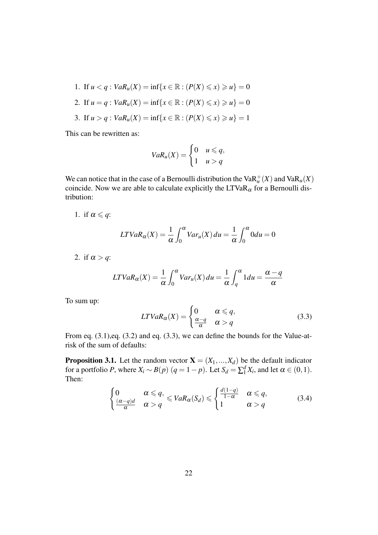1. If  $u < q$ :  $VaR_u(X) = \inf\{x \in \mathbb{R} : (P(X) \le x) \ge u\} = 0$ 2. If  $u = q$ :  $VaR_u(X) = \inf\{x \in \mathbb{R} : (P(X) \le x) \ge u\} = 0$ 3. If  $u > q$ :  $VaR_u(X) = \inf\{x \in \mathbb{R} : (P(X) \le x) \ge u\} = 1$ 

This can be rewritten as:

$$
VaR_u(X) = \begin{cases} 0 & u \leq q, \\ 1 & u > q \end{cases}
$$

We can notice that in the case of a Bernoulli distribution the  $VaR_u^+(X)$  and  $VaR_u(X)$ coincide. Now we are able to calculate explicitly the  $LTVaR_\alpha$  for a Bernoulli distribution:

1. if  $\alpha \leqslant q$ :

$$
LTVaR_{\alpha}(X) = \frac{1}{\alpha} \int_0^{\alpha} Var_u(X) du = \frac{1}{\alpha} \int_0^{\alpha} 0 du = 0
$$

2. if  $\alpha > q$ :

$$
LTVaR_{\alpha}(X) = \frac{1}{\alpha} \int_0^{\alpha} Var_u(X) du = \frac{1}{\alpha} \int_q^{\alpha} 1 du = \frac{\alpha - q}{\alpha}
$$

To sum up:

$$
LTVaR_{\alpha}(X) = \begin{cases} 0 & \alpha \leqslant q, \\ \frac{\alpha - q}{\alpha} & \alpha > q \end{cases}
$$
 (3.3)

From eq. (3.1),eq. (3.2) and eq. (3.3), we can define the bounds for the Value-atrisk of the sum of defaults:

**Proposition 3.1.** Let the random vector  $X = (X_1, ..., X_d)$  be the default indicator for a portfolio *P*, where  $X_i \sim B(p)$  ( $q = 1 - p$ ). Let  $S_d = \sum_1^d X_i$ , and let  $\alpha \in (0, 1)$ . Then:

$$
\begin{cases} 0 & \alpha \leq q, \\ \frac{(\alpha-q)d}{\alpha} & \alpha > q \end{cases} \leqslant VaR_{\alpha}(S_d) \leqslant \begin{cases} \frac{d(1-q)}{1-\alpha} & \alpha \leqslant q, \\ 1 & \alpha > q \end{cases}
$$
 (3.4)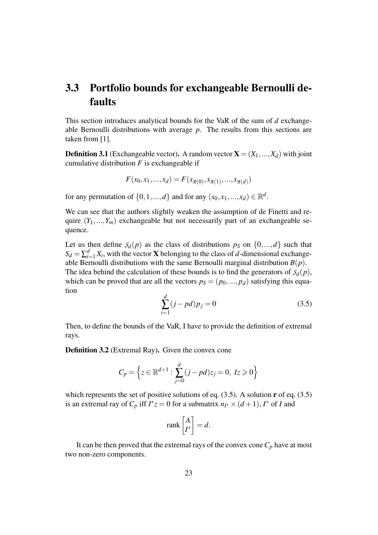## 3.3 Portfolio bounds for exchangeable Bernoulli defaults

This section introduces analytical bounds for the VaR of the sum of *d* exchangeable Bernoulli distributions with average *p*. The results from this sections are taken from [1].

**Definition 3.1** (Exchangeable vector). A random vector  $X = (X_1, ..., X_d)$  with joint cumulative distribution  $F$  is exchangeable if

$$
F(x_0, x_1, ..., x_d) = F(x_{\pi(0)}, x_{\pi(1)}, ..., x_{\pi(d)})
$$

for any permutation of  $\{0, 1, ..., d\}$  and for any  $(x_0, x_1, ..., x_d) \in \mathbb{R}^d$ .

We can see that the authors slightly weaken the assumption of de Finetti and require  $(Y_1,...,Y_m)$  exchangeable but not necessarily part of an exchangeable sequence.

Let us then define  $S_d(p)$  as the class of distributions  $p_S$  on  $\{0, ..., d\}$  such that  $S_d = \sum_{i=1}^d X_i$ , with the vector **X** belonging to the class of *d*-dimensional exchangeable Bernoulli distributions with the same Bernoulli marginal distribution  $B(p)$ . The idea behind the calculation of these bounds is to find the generators of  $S_d(p)$ , which can be proved that are all the vectors  $p_S = (p_0, ..., p_d)$  satisfying this equation

$$
\sum_{i=1}^{d} (j - pd)p_j = 0
$$
\n(3.5)

Then, to define the bounds of the VaR, I have to provide the definition of extremal rays.

Definition 3.2 (Extremal Ray). Given the convex cone

$$
C_p = \left\{ z \in \mathbb{R}^{d+1} : \sum_{j=0}^d (j - pd)z_j = 0, \ Iz \geq 0 \right\}
$$

which represents the set of positive solutions of eq.  $(3.5)$ . A solution **r** of eq.  $(3.5)$ is an extremal ray of  $C_p$  iff  $I^*z = 0$  for a submatrix  $n_{I^*} \times (d+1)$ ,  $I^*$  of *I* and

$$
\operatorname{rank}\left[\begin{matrix} A \\ I^* \end{matrix}\right] = d.
$$

It can be then proved that the extremal rays of the convex cone  $C_p$  have at most two non-zero components.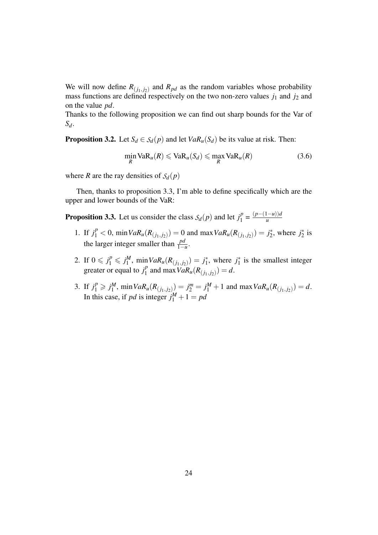We will now define  $R_{(j_1, j_2)}$  and  $R_{pd}$  as the random variables whose probability mass functions are defined respectively on the two non-zero values  $j_1$  and  $j_2$  and on the value *pd*.

Thanks to the following proposition we can find out sharp bounds for the Var of *Sd*.

**Proposition 3.2.** Let  $S_d \in S_d(p)$  and let  $VaR_u(S_d)$  be its value at risk. Then:

$$
\min_{R} \text{VaR}_{u}(R) \leq \text{VaR}_{u}(S_{d}) \leq \max_{R} \text{VaR}_{u}(R) \tag{3.6}
$$

where *R* are the ray densities of  $S_d(p)$ 

Then, thanks to proposition 3.3, I'm able to define specifically which are the upper and lower bounds of the VaR:

**Proposition 3.3.** Let us consider the class  $S_d(p)$  and let  $j_1^p$  $\frac{d^p}{1} = \frac{(p-(1-u))d}{u}$ *u*

- 1. If  $j_1^p < 0$ , min $VaR_u(R_{(j_1,j_2)}) = 0$  and max $VaR_u(R_{(j_1,j_2)}) = j_2^*$  $j_2^*$ , where  $j_2^*$  $2^*$  is the larger integer smaller than  $\frac{pd}{1-u}$ .
- 2. If  $0 \le j_1^p \le j_1^M$  $J_1^M$ , min $VaR_u(R_{(j_1,j_2)}) = j_1^*$  $j_1^*$ , where  $j_1^*$  $j_1^*$  is the smallest integer greater or equal to  $j_1^p$  $\int_{1}^{p}$  and max  $VaR_u(R_{(j_1,j_2)}) = d$ .
- 3. If  $j_1^p \ge j_1^M$  $j_1^M$ ,  $\min Var_u(R_{(j_1,j_2)}) = j_2^m = j_1^M + 1$  and  $\max Var_u(R_{(j_1,j_2)}) = d$ . In this case, if *pd* is integer  $j_1^M + 1 = pd$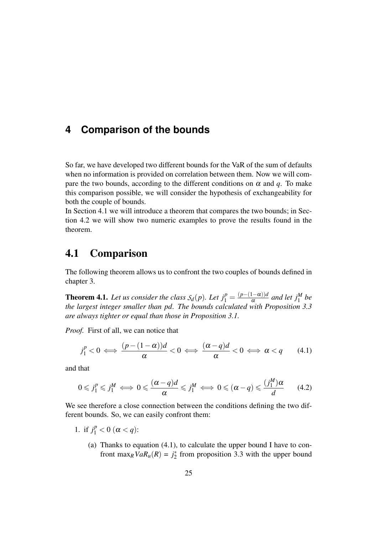### **4 Comparison of the bounds**

So far, we have developed two different bounds for the VaR of the sum of defaults when no information is provided on correlation between them. Now we will compare the two bounds, according to the different conditions on  $\alpha$  and  $q$ . To make this comparison possible, we will consider the hypothesis of exchangeability for both the couple of bounds.

In Section 4.1 we will introduce a theorem that compares the two bounds; in Section 4.2 we will show two numeric examples to prove the results found in the theorem.

#### 4.1 Comparison

The following theorem allows us to confront the two couples of bounds defined in chapter 3.

**Theorem 4.1.** Let us consider the class  $S_d(p)$ . Let  $j_1^p = \frac{(p-(1-\alpha))d}{\alpha}$  $\frac{a^{1-\alpha}}{a}$  *and let*  $j_1^M$  *be the largest integer smaller than pd. The bounds calculated with Proposition 3.3 are always tighter or equal than those in Proposition 3.1.*

*Proof.* First of all, we can notice that

$$
j_1^p < 0 \iff \frac{(p - (1 - \alpha))d}{\alpha} < 0 \iff \frac{(\alpha - q)d}{\alpha} < 0 \iff \alpha < q \tag{4.1}
$$

and that

$$
0 \leqslant j_1^p \leqslant j_1^M \iff 0 \leqslant \frac{(\alpha - q)d}{\alpha} \leqslant j_1^M \iff 0 \leqslant (\alpha - q) \leqslant \frac{(j_1^M)\alpha}{d} \qquad (4.2)
$$

We see therefore a close connection between the conditions defining the two different bounds. So, we can easily confront them:

- 1. if  $j_1^p < 0 \ (\alpha < q)$ :
	- (a) Thanks to equation  $(4.1)$ , to calculate the upper bound I have to confront max<sub>*R*</sub>*VaR<sub>u</sub>*(*R*) =  $j_2^*$  $_2^*$  from proposition 3.3 with the upper bound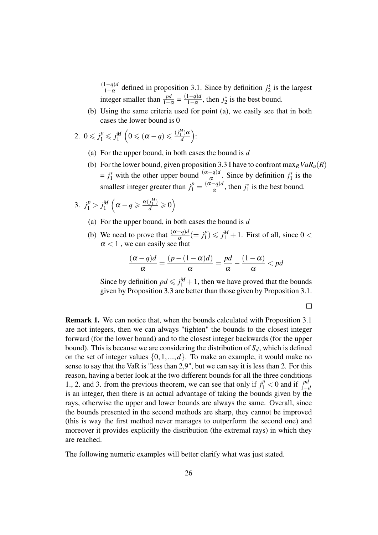(1−*q*)*d*  $\frac{1-q}{1-\alpha}$  defined in proposition 3.1. Since by definition  $j_2^*$  $i_2^*$  is the largest integer smaller than  $\frac{pd}{1-\alpha} = \frac{(1-q)d}{1-\alpha}$  $\frac{1-q}{1-\alpha}$ , then  $j_2^*$  $i_2^*$  is the best bound.

- (b) Using the same criteria used for point (a), we easily see that in both cases the lower bound is 0
- 2.  $0 \le j_1^p \le j_1^M$  $\frac{M}{1}\left(0\leqslant (\alpha-q)\leqslant \frac{(j_1^M)\alpha}{d}\right)$ *d*  $\big).$ 
	- (a) For the upper bound, in both cases the bound is *d*
	- (b) For the lower bound, given proposition 3.3 I have to confront  $\max_R VaR_u(R)$  $= j_1^*$  with the other upper bound  $\frac{(\alpha - q)d}{\alpha}$ . Since by definition  $j_1^*$  $i_1^*$  is the smallest integer greater than  $j_1^p = \frac{(\alpha - q)d}{\alpha}$  $\frac{-q}{\alpha}$ , then  $j_1^*$  $i_1^*$  is the best bound.

$$
3. \, j_1^p > j_1^M \left( \alpha - q \geq \frac{\alpha(j_1^M)}{d} \geq 0 \right)
$$

- (a) For the upper bound, in both cases the bound is *d*
- (b) We need to prove that  $\frac{(\alpha q)d}{\alpha} (= j_1^p)$  $j_1^p$ )  $\leq j_1^M + 1$ . First of all, since  $0 <$  $\alpha$  < 1, we can easily see that

$$
\frac{(\alpha - q)d}{\alpha} = \frac{(p - (1 - \alpha)d)}{\alpha} = \frac{pd}{\alpha} - \frac{(1 - \alpha)}{\alpha} < pd
$$

Since by definition  $pd \leq j_1^M + 1$ , then we have proved that the bounds given by Proposition 3.3 are better than those given by Proposition 3.1.

 $\Box$ 

Remark 1. We can notice that, when the bounds calculated with Proposition 3.1 are not integers, then we can always "tighten" the bounds to the closest integer forward (for the lower bound) and to the closest integer backwards (for the upper bound). This is because we are considering the distribution of  $S_d$ , which is defined on the set of integer values  $\{0,1,...,d\}$ . To make an example, it would make no sense to say that the VaR is "less than 2,9", but we can say it is less than 2. For this reason, having a better look at the two different bounds for all the three conditions 1., 2. and 3. from the previous theorem, we can see that only if  $j_1^p < 0$  and if  $\frac{pd}{1-a}$ is an integer, then there is an actual advantage of taking the bounds given by the rays, otherwise the upper and lower bounds are always the same. Overall, since the bounds presented in the second methods are sharp, they cannot be improved (this is way the first method never manages to outperform the second one) and moreover it provides explicitly the distribution (the extremal rays) in which they are reached.

The following numeric examples will better clarify what was just stated.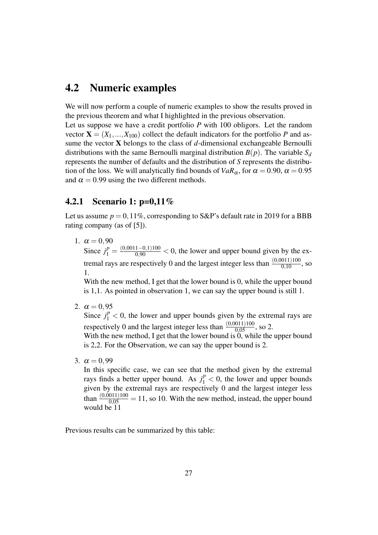### 4.2 Numeric examples

We will now perform a couple of numeric examples to show the results proved in the previous theorem and what I highlighted in the previous observation. Let us suppose we have a credit portfolio *P* with 100 obligors. Let the random vector  $X = (X_1, ..., X_{100})$  collect the default indicators for the portfolio *P* and assume the vector X belongs to the class of *d*-dimensional exchangeable Bernoulli distributions with the same Bernoulli marginal distribution  $B(p)$ . The variable  $S_d$ represents the number of defaults and the distribution of *S* represents the distribution of the loss. We will analytically find bounds of  $VaR_\alpha$ , for  $\alpha = 0.90$ ,  $\alpha = 0.95$ and  $\alpha = 0.99$  using the two different methods.

#### 4.2.1 Scenario 1: p=0,11%

Let us assume  $p = 0,11\%$ , corresponding to S&P's default rate in 2019 for a BBB rating company (as of [5]).

1.  $\alpha = 0.90$ Since  $j_1^p = \frac{(0.0011 - 0.1)100}{0.90} < 0$ , the lower and upper bound given by the extremal rays are respectively 0 and the largest integer less than  $\frac{(0,0011)100}{0,10}$ , so 1.

With the new method, I get that the lower bound is 0, while the upper bound is 1,1. As pointed in observation 1, we can say the upper bound is still 1.

2.  $\alpha = 0.95$ 

Since  $j_1^p < 0$ , the lower and upper bounds given by the extremal rays are respectively 0 and the largest integer less than  $\frac{(0,0011)100}{0,05}$ , so 2.

With the new method, I get that the lower bound is  $\dot{0}$ , while the upper bound is 2,2. For the Observation, we can say the upper bound is 2.

3.  $\alpha = 0.99$ 

In this specific case, we can see that the method given by the extremal rays finds a better upper bound. As  $j_1^p < 0$ , the lower and upper bounds given by the extremal rays are respectively 0 and the largest integer less than  $\frac{(0.0011)100}{0.05} = 11$ , so 10. With the new method, instead, the upper bound would be 11

Previous results can be summarized by this table: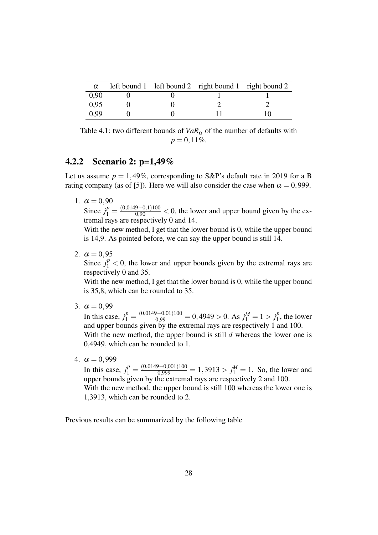| $\alpha$ |  | left bound 1 left bound 2 right bound 1 right bound 2 |  |
|----------|--|-------------------------------------------------------|--|
| 0.90     |  |                                                       |  |
| 0.95     |  |                                                       |  |
| 0.99     |  |                                                       |  |

Table 4.1: two different bounds of  $VaR_\alpha$  of the number of defaults with  $p = 0,11\%$ .

#### 4.2.2 Scenario 2: p=1,49%

Let us assume  $p = 1,49\%$ , corresponding to S&P's default rate in 2019 for a B rating company (as of [5]). Here we will also consider the case when  $\alpha = 0.999$ .

1.  $\alpha = 0.90$ 

Since  $j_1^p = \frac{(0.0149 - 0.1100)}{0.90} < 0$ , the lower and upper bound given by the extremal rays are respectively 0 and 14.

With the new method, I get that the lower bound is 0, while the upper bound is 14,9. As pointed before, we can say the upper bound is still 14.

2.  $\alpha = 0.95$ 

Since  $j_1^p < 0$ , the lower and upper bounds given by the extremal rays are respectively 0 and 35.

With the new method, I get that the lower bound is 0, while the upper bound is 35,8, which can be rounded to 35.

3.  $\alpha = 0.99$ 

In this case,  $j_1^p = \frac{(0.0149 - 0.01)100}{0.99} = 0.4949 > 0$ . As  $j_1^M = 1 > j_1^p$  $t_1^p$ , the lower and upper bounds given by the extremal rays are respectively 1 and 100. With the new method, the upper bound is still *d* whereas the lower one is 0,4949, which can be rounded to 1.

4.  $\alpha = 0.999$ 

In this case,  $j_1^p = \frac{(0.0149 - 0.001)100}{0.999} = 1,3913 > j_1^M = 1$ . So, the lower and upper bounds given by the extremal rays are respectively 2 and 100. With the new method, the upper bound is still 100 whereas the lower one is 1,3913, which can be rounded to 2.

Previous results can be summarized by the following table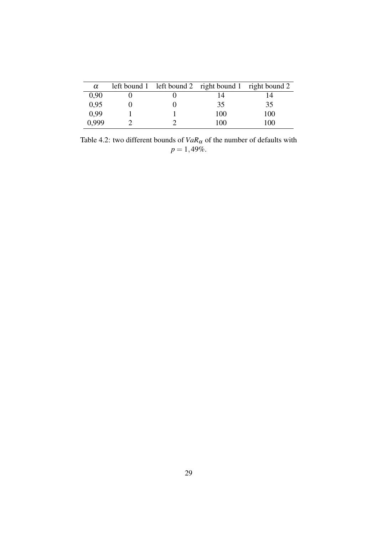| $\alpha$ |  | left bound 1 left bound 2 right bound 1 right bound 2 |     |
|----------|--|-------------------------------------------------------|-----|
| 0,90     |  | 14                                                    |     |
| 0,95     |  | 35                                                    | 35  |
| 0,99     |  | 100                                                   | 100 |
| 0.999    |  | 100                                                   | 100 |

Table 4.2: two different bounds of  $VaR_{\alpha}$  of the number of defaults with  $p = 1,49\%.$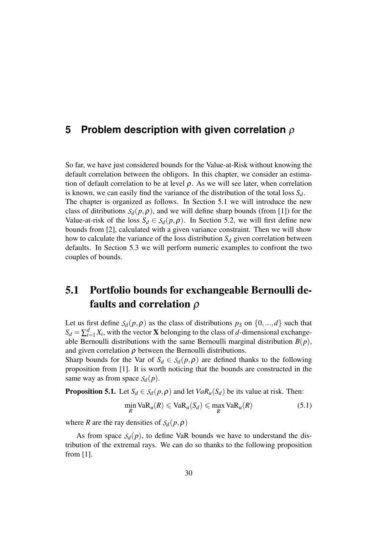#### **5 Problem description with given correlation** ρ

So far, we have just considered bounds for the Value-at-Risk without knowing the default correlation between the obligors. In this chapter, we consider an estimation of default correlation to be at level  $\rho$ . As we will see later, when correlation is known, we can easily find the variance of the distribution of the total loss *Sd*. The chapter is organized as follows. In Section 5.1 we will introduce the new class of ditributions  $S_d(p, \rho)$ , and we will define sharp bounds (from [1]) for the Value-at-risk of the loss  $S_d \in S_d(p, \rho)$ . In Section 5.2, we will first define new bounds from [2], calculated with a given variance constraint. Then we will show how to calculate the variance of the loss distribution  $S_d$  given correlation between defaults. In Section 5.3 we will perform numeric examples to confront the two couples of bounds.

## 5.1 Portfolio bounds for exchangeable Bernoulli defaults and correlation  $\rho$

Let us first define  $S_d(p, \rho)$  as the class of distributions  $p_S$  on  $\{0, ..., d\}$  such that  $S_d = \sum_{i=1}^d X_i$ , with the vector **X** belonging to the class of *d*-dimensional exchangeable Bernoulli distributions with the same Bernoulli marginal distribution  $B(p)$ , and given correlation  $\rho$  between the Bernoulli distributions.

Sharp bounds for the Var of  $S_d \in S_d(p, \rho)$  are defined thanks to the following proposition from [1]. It is worth noticing that the bounds are constructed in the same way as from space  $S_d(p)$ .

**Proposition 5.1.** Let  $S_d \in S_d(p, \rho)$  and let  $VaR_u(S_d)$  be its value at risk. Then:

$$
\min_{R} \text{VaR}_{u}(R) \leqslant \text{VaR}_{u}(S_{d}) \leqslant \max_{R} \text{VaR}_{u}(R) \tag{5.1}
$$

where *R* are the ray densities of  $S_d(p, \rho)$ 

As from space  $S_d(p)$ , to define VaR bounds we have to understand the distribution of the extremal rays. We can do so thanks to the following proposition from [1].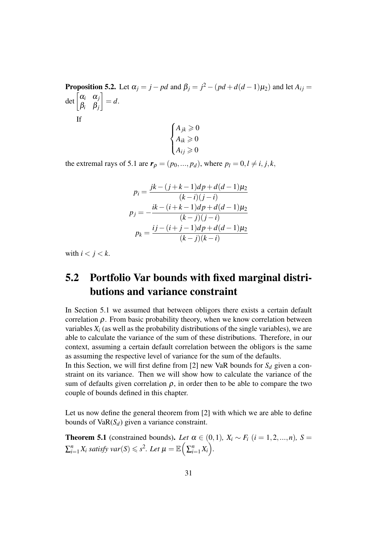**Proposition 5.2.** Let  $\alpha_j = j - pd$  and  $\beta_j = j^2 - (pd + d(d-1)\mu_2)$  and let  $A_{ij} =$ det  $\begin{bmatrix} \alpha_i & \alpha_j \\ \alpha & \beta \end{bmatrix}$ β*i* β*j* 1  $= d$ . If  $\sqrt{ }$  $\int$  $\overline{\mathcal{L}}$  $A_{jk} \geqslant 0$  $A_{ik} \geqslant 0$  $A_{ij} \geqslant 0$ 

the extremal rays of 5.1 are  $\mathbf{r}_{\rho} = (p_0, ..., p_d)$ , where  $p_l = 0, l \neq i, j, k$ ,

$$
p_i = \frac{jk - (j + k - 1)d p + d(d - 1)\mu_2}{(k - i)(j - i)}
$$

$$
p_j = -\frac{ik - (i + k - 1)d p + d(d - 1)\mu_2}{(k - j)(j - i)}
$$

$$
p_k = \frac{ij - (i + j - 1)d p + d(d - 1)\mu_2}{(k - j)(k - i)}
$$

with  $i < j < k$ .

## 5.2 Portfolio Var bounds with fixed marginal distributions and variance constraint

In Section 5.1 we assumed that between obligors there exists a certain default correlation  $\rho$ . From basic probability theory, when we know correlation between variables  $X_i$  (as well as the probability distributions of the single variables), we are able to calculate the variance of the sum of these distributions. Therefore, in our context, assuming a certain default correlation between the obligors is the same as assuming the respective level of variance for the sum of the defaults.

In this Section, we will first define from [2] new VaR bounds for  $S_d$  given a constraint on its variance. Then we will show how to calculate the variance of the sum of defaults given correlation  $\rho$ , in order then to be able to compare the two couple of bounds defined in this chapter.

Let us now define the general theorem from [2] with which we are able to define bounds of  $VaR(S_d)$  given a variance constraint.

**Theorem 5.1** (constrained bounds). *Let*  $\alpha \in (0,1)$ *,*  $X_i \sim F_i$  ( $i = 1,2,...,n$ )*,* S =  $\sum_{i=1}^{n} X_i$  satisfy  $var(S) \leqslant s^2$ . Let  $\mu = \mathbb{E} \Big( \sum_{i=1}^{n} X_i \Big)$ .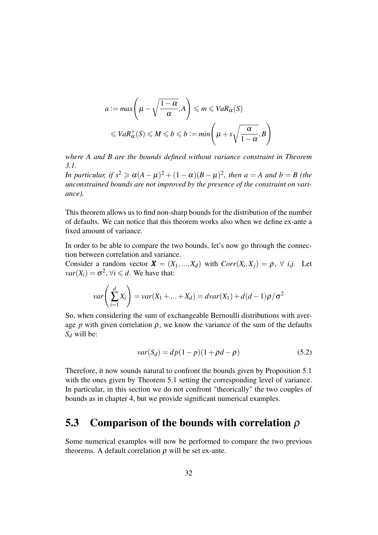$$
a := max\left(\mu - \sqrt{\frac{1 - \alpha}{\alpha}}, A\right) \le m \le VaR_{\alpha}(S)
$$
  

$$
\le VaR_{\alpha}^{+}(S) \le M \le b \le b := min\left(\mu + s\sqrt{\frac{\alpha}{1 - \alpha}}, B\right)
$$

*where A and B are the bounds defined without variance constraint in Theorem 3.1.*

*In particular, if*  $s^2 \geqslant \alpha(A - \mu)^2 + (1 - \alpha)(B - \mu)^2$ , then  $a = A$  and  $b = B$  (the *unconstrained bounds are not improved by the presence of the constraint on variance).*

This theorem allows us to find non-sharp bounds for the distribution of the number of defaults. We can notice that this theorem works also when we define ex-ante a fixed amount of variance.

In order to be able to compare the two bounds, let's now go through the connection between correlation and variance.

Consider a random vector  $\mathbf{X} = (X_1, ..., X_d)$  with  $Corr(X_i, X_j) = \rho, \forall i, j$ . Let  $var(X_i) = \sigma^2$ ,  $\forall i \leq d$ . We have that:

$$
var\bigg(\sum_{i=1}^d X_i\bigg) = var(X_1 + ... + X_d) = dvar(X_1) + d(d-1)\rho/\sigma^2
$$

So, when considering the sum of exchangeable Bernoulli distributions with average *p* with given correlation  $\rho$ , we know the variance of the sum of the defaults *S<sup>d</sup>* will be:

$$
var(S_d) = dp(1 - p)(1 + \rho d - \rho)
$$
\n(5.2)

Therefore, it now sounds natural to confront the bounds given by Proposition 5.1 with the ones given by Theorem 5.1 setting the corresponding level of variance. In particular, in this section we do not confront "theorically" the two couples of bounds as in chapter 4, but we provide significant numerical examples.

### 5.3 Comparison of the bounds with correlation  $\rho$

Some numerical examples will now be performed to compare the two previous theorems. A default correlation  $\rho$  will be set ex-ante.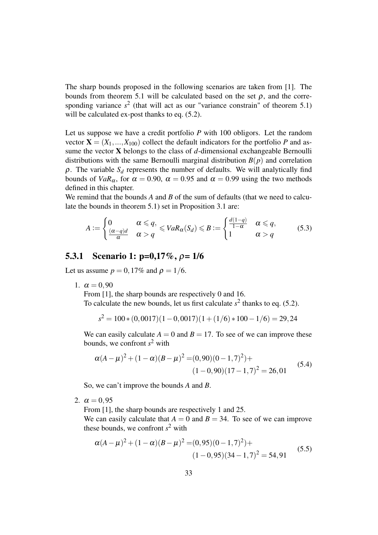The sharp bounds proposed in the following scenarios are taken from [1]. The bounds from theorem 5.1 will be calculated based on the set  $\rho$ , and the corresponding variance  $s^2$  (that will act as our "variance constrain" of theorem 5.1) will be calculated ex-post thanks to eq.  $(5.2)$ .

Let us suppose we have a credit portfolio *P* with 100 obligors. Let the random vector  $X = (X_1, ..., X_{100})$  collect the default indicators for the portfolio *P* and assume the vector X belongs to the class of *d*-dimensional exchangeable Bernoulli distributions with the same Bernoulli marginal distribution  $B(p)$  and correlation  $\rho$ . The variable  $S_d$  represents the number of defaults. We will analytically find bounds of  $VaR_\alpha$ , for  $\alpha = 0.90$ ,  $\alpha = 0.95$  and  $\alpha = 0.99$  using the two methods defined in this chapter.

We remind that the bounds *A* and *B* of the sum of defaults (that we need to calculate the bounds in theorem 5.1) set in Proposition 3.1 are:

$$
A := \begin{cases} 0 & \alpha \leqslant q, \\ \frac{(\alpha - q)d}{\alpha} & \alpha > q \end{cases} \leqslant VaR_{\alpha}(S_d) \leqslant B := \begin{cases} \frac{d(1 - q)}{1 - \alpha} & \alpha \leqslant q, \\ 1 & \alpha > q \end{cases} \tag{5.3}
$$

#### 5.3.1 Scenario 1: p=0,17%, ρ= 1/6

Let us assume  $p = 0,17\%$  and  $\rho = 1/6$ .

1.  $\alpha = 0.90$ 

From [1], the sharp bounds are respectively 0 and 16. To calculate the new bounds, let us first calculate  $s^2$  thanks to eq. (5.2).

$$
s^2 = 100 * (0,0017)(1 - 0,0017)(1 + (1/6) * 100 - 1/6) = 29,24
$$

We can easily calculate  $A = 0$  and  $B = 17$ . To see of we can improve these bounds, we confront *s* <sup>2</sup> with

$$
\alpha(A - \mu)^2 + (1 - \alpha)(B - \mu)^2 = (0, 90)(0 - 1, 7)^2) +
$$
  
(1 - 0, 90)(17 - 1, 7)^2 = 26, 01 (5.4)

So, we can't improve the bounds *A* and *B*.

2.  $\alpha = 0.95$ 

From [1], the sharp bounds are respectively 1 and 25.

We can easily calculate that  $A = 0$  and  $B = 34$ . To see of we can improve these bounds, we confront  $s^2$  with

$$
\alpha(A - \mu)^2 + (1 - \alpha)(B - \mu)^2 = (0.95)(0 - 1.7)^2) +
$$
  
(1 - 0.95)(34 - 1.7)<sup>2</sup> = 54.91 (5.5)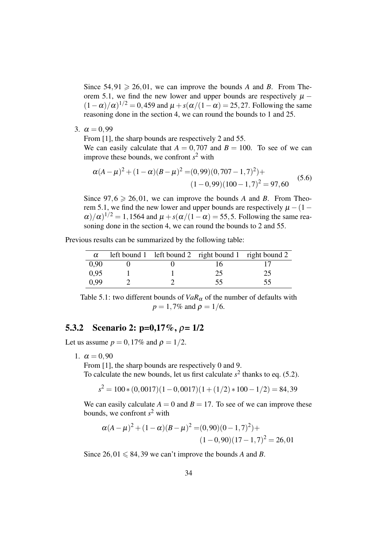Since  $54,91 \ge 26,01$ , we can improve the bounds *A* and *B*. From Theorem 5.1, we find the new lower and upper bounds are respectively  $\mu$  −  $(1 - \alpha)/\alpha$ <sup>1/2</sup> = 0,459 and  $\mu$  + *s*( $\alpha$ /(1 –  $\alpha$ ) = 25,27. Following the same reasoning done in the section 4, we can round the bounds to 1 and 25.

3.  $\alpha = 0.99$ 

From [1], the sharp bounds are respectively 2 and 55.

We can easily calculate that  $A = 0.707$  and  $B = 100$ . To see of we can improve these bounds, we confront  $s^2$  with

$$
\alpha(A - \mu)^2 + (1 - \alpha)(B - \mu)^2 = (0.99)(0.707 - 1.7)^2) +
$$
  
(1 - 0.99)(100 - 1.7)^2 = 97,60 (5.6)

Since  $97.6 \ge 26.01$ , we can improve the bounds *A* and *B*. From Theorem 5.1, we find the new lower and upper bounds are respectively  $\mu$  – (1 –  $\alpha$ / $\alpha$ )<sup>1/2</sup> = 1,1564 and  $\mu$  +  $s(\alpha/(1-\alpha)$  = 55,5. Following the same reasoning done in the section 4, we can round the bounds to 2 and 55.

Previous results can be summarized by the following table:

| $\alpha$ |  | left bound 1 left bound 2 right bound 1 right bound 2 |    |
|----------|--|-------------------------------------------------------|----|
| 0.90     |  |                                                       |    |
| 0.95     |  | 25                                                    | 25 |
| 0.99     |  | 55                                                    | 55 |

Table 5.1: two different bounds of  $VaR_\alpha$  of the number of defaults with  $p = 1,7\%$  and  $\rho = 1/6$ .

#### 5.3.2 Scenario 2:  $p=0,17\%$ ,  $\rho=1/2$

Let us assume  $p = 0,17\%$  and  $\rho = 1/2$ .

1.  $\alpha = 0.90$ 

From [1], the sharp bounds are respectively 0 and 9.

To calculate the new bounds, let us first calculate  $s^2$  thanks to eq. (5.2).

 $s^2 = 100 * (0,0017)(1 - 0,0017)(1 + (1/2) * 100 - 1/2) = 84,39$ 

We can easily calculate  $A = 0$  and  $B = 17$ . To see of we can improve these bounds, we confront *s* <sup>2</sup> with

$$
\alpha(A - \mu)^2 + (1 - \alpha)(B - \mu)^2 = (0, 90)(0 - 1, 7)^2) +
$$
  

$$
(1 - 0, 90)(17 - 1, 7)^2 = 26, 01
$$

Since  $26.01 \le 84.39$  we can't improve the bounds *A* and *B*.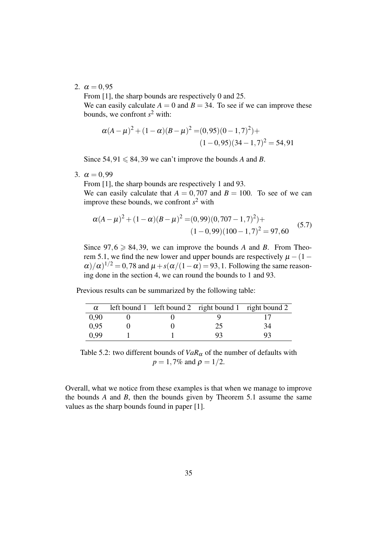#### 2.  $\alpha = 0.95$

From [1], the sharp bounds are respectively 0 and 25.

We can easily calculate  $A = 0$  and  $B = 34$ . To see if we can improve these bounds, we confront *s* <sup>2</sup> with:

$$
\alpha(A - \mu)^2 + (1 - \alpha)(B - \mu)^2 = (0,95)(0 - 1,7)^2) +
$$
  

$$
(1 - 0,95)(34 - 1,7)^2 = 54,91
$$

Since  $54,91 \le 84,39$  we can't improve the bounds *A* and *B*.

3.  $\alpha = 0.99$ 

From [1], the sharp bounds are respectively 1 and 93.

We can easily calculate that  $A = 0.707$  and  $B = 100$ . To see of we can improve these bounds, we confront  $s^2$  with

$$
\alpha(A - \mu)^2 + (1 - \alpha)(B - \mu)^2 = (0,99)(0,707 - 1,7)^2) +
$$
  
(1 - 0,99)(100 - 1,7)^2 = 97,60 (5.7)

Since  $97,6 \ge 84,39$ , we can improve the bounds *A* and *B*. From Theorem 5.1, we find the new lower and upper bounds are respectively  $\mu$  – (1 –  $\alpha$ / $\alpha$ )<sup>1/2</sup> = 0,78 and  $\mu$  +  $s(\alpha/(1-\alpha)$  = 93,1. Following the same reasoning done in the section 4, we can round the bounds to 1 and 93.

Previous results can be summarized by the following table:

| $\alpha$ |  | left bound 1 left bound 2 right bound 1 right bound 2 |    |
|----------|--|-------------------------------------------------------|----|
| 0.90     |  |                                                       |    |
| 0,95     |  | 25                                                    |    |
| 0.99     |  | $Q_3$                                                 | Q٦ |

Table 5.2: two different bounds of  $VaR_\alpha$  of the number of defaults with  $p = 1,7\%$  and  $\rho = 1/2$ .

Overall, what we notice from these examples is that when we manage to improve the bounds *A* and *B*, then the bounds given by Theorem 5.1 assume the same values as the sharp bounds found in paper [1].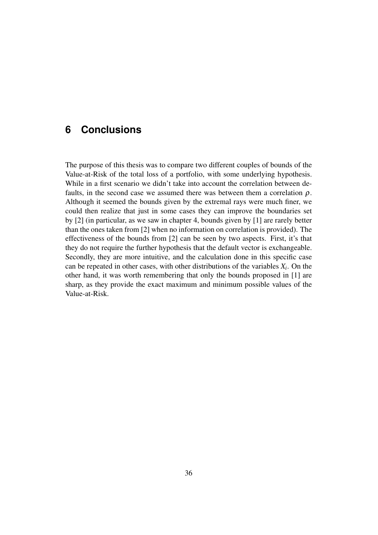### **6 Conclusions**

The purpose of this thesis was to compare two different couples of bounds of the Value-at-Risk of the total loss of a portfolio, with some underlying hypothesis. While in a first scenario we didn't take into account the correlation between defaults, in the second case we assumed there was between them a correlation  $\rho$ . Although it seemed the bounds given by the extremal rays were much finer, we could then realize that just in some cases they can improve the boundaries set by [2] (in particular, as we saw in chapter 4, bounds given by [1] are rarely better than the ones taken from [2] when no information on correlation is provided). The effectiveness of the bounds from [2] can be seen by two aspects. First, it's that they do not require the further hypothesis that the default vector is exchangeable. Secondly, they are more intuitive, and the calculation done in this specific case can be repeated in other cases, with other distributions of the variables  $X_i$ . On the other hand, it was worth remembering that only the bounds proposed in [1] are sharp, as they provide the exact maximum and minimum possible values of the Value-at-Risk.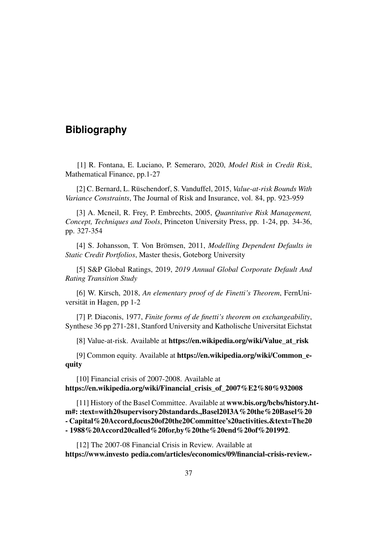#### **Bibliography**

[1] R. Fontana, E. Luciano, P. Semeraro, 2020, *Model Risk in Credit Risk*, Mathematical Finance, pp.1-27

[2] C. Bernard, L. Rüschendorf, S. Vanduffel, 2015, *Value-at-risk Bounds With Variance Constraints*, The Journal of Risk and Insurance, vol. 84, pp. 923-959

[3] A. Mcneil, R. Frey, P. Embrechts, 2005, *Quantitative Risk Management, Concept, Techniques and Tools*, Princeton University Press, pp. 1-24, pp. 34-36, pp. 327-354

[4] S. Johansson, T. Von Brömsen, 2011, *Modelling Dependent Defaults in Static Credit Portfolios*, Master thesis, Goteborg University

[5] S&P Global Ratings, 2019, *2019 Annual Global Corporate Default And Rating Transition Study*

[6] W. Kirsch, 2018, *An elementary proof of de Finetti's Theorem*, FernUniversität in Hagen, pp 1-2

[7] P. Diaconis, 1977, *Finite forms of de finetti's theorem on exchangeability*, Synthese 36 pp 271-281, Stanford University and Katholische Universitat Eichstat

[8] Value-at-risk. Available at https://en.wikipedia.org/wiki/Value\_at\_risk

[9] Common equity. Available at https://en.wikipedia.org/wiki/Common\_equity

[10] Financial crisis of 2007-2008. Available at https://en.wikipedia.org/wiki/Financial\_crisis\_of\_2007%E2%80%932008

[11] History of the Basel Committee. Available at www.bis.org/bcbs/history.htm#: :text=with20supervisory20standards.,Basel20I3A%20the%20Basel%20 - Capital%20Accord,focus20of20the20Committee's20activities.&text=The20 - 1988%20Accord20called%20for,by%20the%20end%20of%201992.

[12] The 2007-08 Financial Crisis in Review. Available at https://www.investo pedia.com/articles/economics/09/financial-crisis-review.-